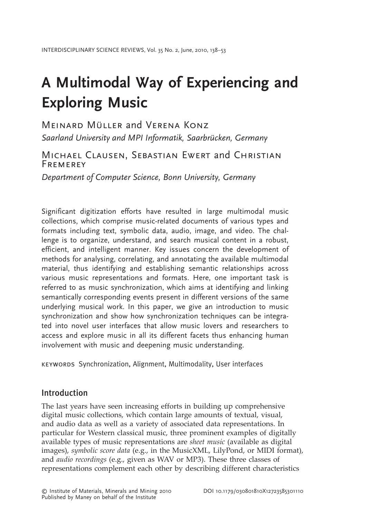# **A Multimodal Way of Experiencing and Exploring Music**

## Meinard Müller and Verena Konz

*Saarland University and MPI Informatik, Saarbrücken, Germany*

### Michael Clausen, Sebastian Ewert and Christian Fremerey

*Department of Computer Science, Bonn University, Germany*

Significant digitization efforts have resulted in large multimodal music collections, which comprise music-related documents of various types and formats including text, symbolic data, audio, image, and video. The challenge is to organize, understand, and search musical content in a robust, efficient, and intelligent manner. Key issues concern the development of methods for analysing, correlating, and annotating the available multimodal material, thus identifying and establishing semantic relationships across various music representations and formats. Here, one important task is referred to as music synchronization, which aims at identifying and linking semantically corresponding events present in different versions of the same underlying musical work. In this paper, we give an introduction to music synchronization and show how synchronization techniques can be integrated into novel user interfaces that allow music lovers and researchers to access and explore music in all its different facets thus enhancing human involvement with music and deepening music understanding.

keywords Synchronization, Alignment, Multimodality, User interfaces

#### Introduction

The last years have seen increasing efforts in building up comprehensive digital music collections, which contain large amounts of textual, visual, and audio data as well as a variety of associated data representations. In particular for Western classical music, three prominent examples of digitally available types of music representations are *sheet music* (available as digital images), *symbolic score data* (e.g., in the MusicXML, LilyPond, or MIDI format), and *audio recordings* (e.g., given as WAV or MP3). These three classes of representations complement each other by describing different characteristics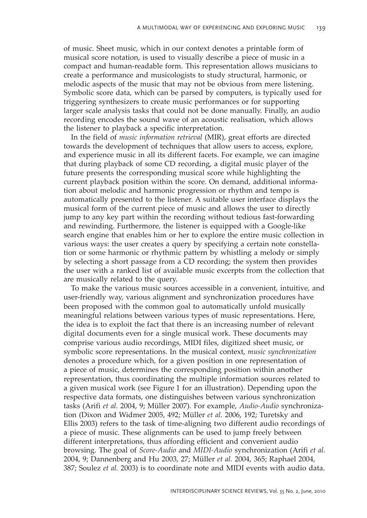of music. Sheet music, which in our context denotes a printable form of musical score notation, is used to visually describe a piece of music in a compact and human-readable form. This representation allows musicians to create a performance and musicologists to study structural, harmonic, or melodic aspects of the music that may not be obvious from mere listening. Symbolic score data, which can be parsed by computers, is typically used for triggering synthesizers to create music performances or for supporting larger scale analysis tasks that could not be done manually. Finally, an audio recording encodes the sound wave of an acoustic realisation, which allows the listener to playback a specific interpretation.

In the field of *music information retrieval* (MIR), great efforts are directed towards the development of techniques that allow users to access, explore, and experience music in all its different facets. For example, we can imagine that during playback of some CD recording, a digital music player of the future presents the corresponding musical score while highlighting the current playback position within the score. On demand, additional information about melodic and harmonic progression or rhythm and tempo is automatically presented to the listener. A suitable user interface displays the musical form of the current piece of music and allows the user to directly jump to any key part within the recording without tedious fast-forwarding and rewinding. Furthermore, the listener is equipped with a Google-like search engine that enables him or her to explore the entire music collection in various ways: the user creates a query by specifying a certain note constellation or some harmonic or rhythmic pattern by whistling a melody or simply by selecting a short passage from a CD recording; the system then provides the user with a ranked list of available music excerpts from the collection that are musically related to the query.

To make the various music sources accessible in a convenient, intuitive, and user-friendly way, various alignment and synchronization procedures have been proposed with the common goal to automatically unfold musically meaningful relations between various types of music representations. Here, the idea is to exploit the fact that there is an increasing number of relevant digital documents even for a single musical work. These documents may comprise various audio recordings, MIDI files, digitized sheet music, or symbolic score representations. In the musical context, *music synchronization* denotes a procedure which, for a given position in one representation of a piece of music, determines the corresponding position within another representation, thus coordinating the multiple information sources related to a given musical work (see Figure 1 for an illustration). Depending upon the respective data formats, one distinguishes between various synchronization tasks (Arifi *et al.* 2004, 9; Müller 2007). For example, *Audio-Audio* synchronization (Dixon and Widmer 2005, 492; Müller *et al.* 2006, 192; Turetsky and Ellis 2003) refers to the task of time-aligning two different audio recordings of a piece of music. These alignments can be used to jump freely between different interpretations, thus affording efficient and convenient audio browsing. The goal of *Score-Audio* and *MIDI-Audio* synchronization (Arifi *et al.* 2004, 9; Dannenberg and Hu 2003, 27; Müller *et al.* 2004, 365; Raphael 2004, 387; Soulez *et al.* 2003) is to coordinate note and MIDI events with audio data.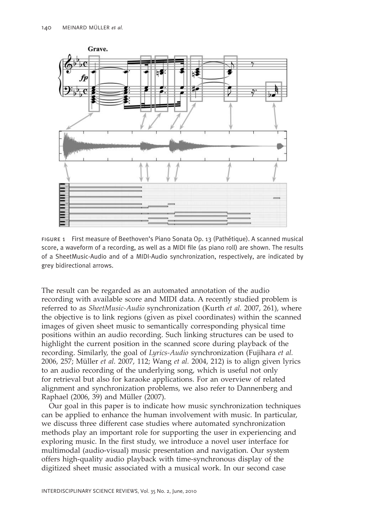

fi gure 1 First measure of Beethoven's Piano Sonata Op. 13 (Pathétique). A scanned musical score, a waveform of a recording, as well as a MIDI file (as piano roll) are shown. The results of a SheetMusic-Audio and of a MIDI-Audio synchronization, respectively, are indicated by grey bidirectional arrows.

The result can be regarded as an automated annotation of the audio recording with available score and MIDI data. A recently studied problem is referred to as *SheetMusic-Audio* synchronization (Kurth *et al.* 2007, 261), where the objective is to link regions (given as pixel coordinates) within the scanned images of given sheet music to semantically corresponding physical time positions within an audio recording. Such linking structures can be used to highlight the current position in the scanned score during playback of the recording. Similarly, the goal of *Lyrics-Audio* synchronization (Fujihara *et al.* 2006, 257; Müller *et al.* 2007, 112; Wang *et al.* 2004, 212) is to align given lyrics to an audio recording of the underlying song, which is useful not only for retrieval but also for karaoke applications. For an overview of related alignment and synchronization problems, we also refer to Dannenberg and Raphael (2006, 39) and Müller (2007).

Our goal in this paper is to indicate how music synchronization techniques can be applied to enhance the human involvement with music. In particular, we discuss three different case studies where automated synchronization methods play an important role for supporting the user in experiencing and exploring music. In the first study, we introduce a novel user interface for multimodal (audio-visual) music presentation and navigation. Our system offers high-quality audio playback with time-synchronous display of the digitized sheet music associated with a musical work. In our second case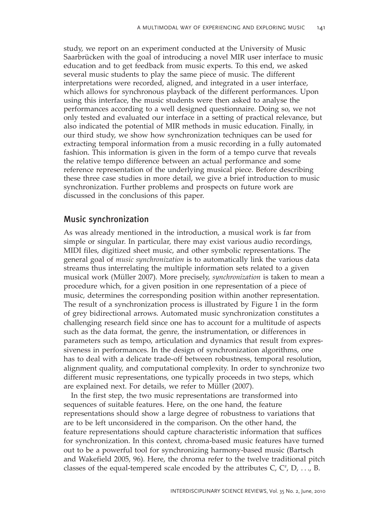study, we report on an experiment conducted at the University of Music Saarbrücken with the goal of introducing a novel MIR user interface to music education and to get feedback from music experts. To this end, we asked several music students to play the same piece of music. The different interpretations were recorded, aligned, and integrated in a user interface, which allows for synchronous playback of the different performances. Upon using this interface, the music students were then asked to analyse the performances according to a well designed questionnaire. Doing so, we not only tested and evaluated our interface in a setting of practical relevance, but also indicated the potential of MIR methods in music education. Finally, in our third study, we show how synchronization techniques can be used for extracting temporal information from a music recording in a fully automated fashion. This information is given in the form of a tempo curve that reveals the relative tempo difference between an actual performance and some reference representation of the underlying musical piece. Before describing these three case studies in more detail, we give a brief introduction to music synchronization. Further problems and prospects on future work are discussed in the conclusions of this paper.

#### Music synchronization

As was already mentioned in the introduction, a musical work is far from simple or singular. In particular, there may exist various audio recordings, MIDI files, digitized sheet music, and other symbolic representations. The general goal of *music synchronization* is to automatically link the various data streams thus interrelating the multiple information sets related to a given musical work (Müller 2007). More precisely, *synchronization* is taken to mean a procedure which, for a given position in one representation of a piece of music, determines the corresponding position within another representation. The result of a synchronization process is illustrated by Figure 1 in the form of grey bidirectional arrows. Automated music synchronization constitutes a challenging research field since one has to account for a multitude of aspects such as the data format, the genre, the instrumentation, or differences in parameters such as tempo, articulation and dynamics that result from expressiveness in performances. In the design of synchronization algorithms, one has to deal with a delicate trade-off between robustness, temporal resolution, alignment quality, and computational complexity. In order to synchronize two different music representations, one typically proceeds in two steps, which are explained next. For details, we refer to Müller (2007).

In the first step, the two music representations are transformed into sequences of suitable features. Here, on the one hand, the feature representations should show a large degree of robustness to variations that are to be left unconsidered in the comparison. On the other hand, the feature representations should capture characteristic information that suffices for synchronization. In this context, chroma-based music features have turned out to be a powerful tool for synchronizing harmony-based music (Bartsch and Wakefield 2005, 96). Here, the chroma refer to the twelve traditional pitch classes of the equal-tempered scale encoded by the attributes  $C, C^*, D, \ldots, B$ .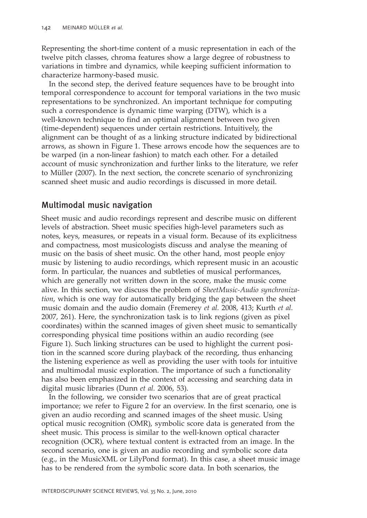Representing the short-time content of a music representation in each of the twelve pitch classes, chroma features show a large degree of robustness to variations in timbre and dynamics, while keeping sufficient information to characterize harmony-based music.

In the second step, the derived feature sequences have to be brought into temporal correspondence to account for temporal variations in the two music representations to be synchronized. An important technique for computing such a correspondence is dynamic time warping (DTW), which is a well-known technique to find an optimal alignment between two given (time-dependent) sequences under certain restrictions. Intuitively, the alignment can be thought of as a linking structure indicated by bidirectional arrows, as shown in Figure 1. These arrows encode how the sequences are to be warped (in a non-linear fashion) to match each other. For a detailed account of music synchronization and further links to the literature, we refer to Müller (2007). In the next section, the concrete scenario of synchronizing scanned sheet music and audio recordings is discussed in more detail.

#### Multimodal music navigation

Sheet music and audio recordings represent and describe music on different levels of abstraction. Sheet music specifies high-level parameters such as notes, keys, measures, or repeats in a visual form. Because of its explicitness and compactness, most musicologists discuss and analyse the meaning of music on the basis of sheet music. On the other hand, most people enjoy music by listening to audio recordings, which represent music in an acoustic form. In particular, the nuances and subtleties of musical performances, which are generally not written down in the score, make the music come alive. In this section, we discuss the problem of *SheetMusic-Audio synchronization*, which is one way for automatically bridging the gap between the sheet music domain and the audio domain (Fremerey *et al.* 2008, 413; Kurth *et al.* 2007, 261). Here, the synchronization task is to link regions (given as pixel coordinates) within the scanned images of given sheet music to semantically corresponding physical time positions within an audio recording (see Figure 1). Such linking structures can be used to highlight the current position in the scanned score during playback of the recording, thus enhancing the listening experience as well as providing the user with tools for intuitive and multimodal music exploration. The importance of such a functionality has also been emphasized in the context of accessing and searching data in digital music libraries (Dunn *et al.* 2006, 53).

In the following, we consider two scenarios that are of great practical importance; we refer to Figure 2 for an overview. In the first scenario, one is given an audio recording and scanned images of the sheet music. Using optical music recognition (OMR), symbolic score data is generated from the sheet music. This process is similar to the well-known optical character recognition (OCR), where textual content is extracted from an image. In the second scenario, one is given an audio recording and symbolic score data (e.g., in the MusicXML or LilyPond format). In this case, a sheet music image has to be rendered from the symbolic score data. In both scenarios, the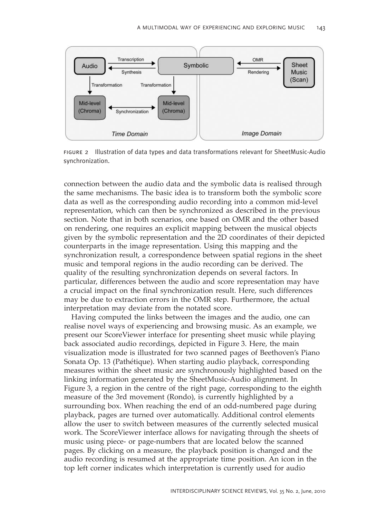

fi gure 2 Illustration of data types and data transformations relevant for SheetMusic-Audio synchronization.

connection between the audio data and the symbolic data is realised through the same mechanisms. The basic idea is to transform both the symbolic score data as well as the corresponding audio recording into a common mid-level representation, which can then be synchronized as described in the previous section. Note that in both scenarios, one based on OMR and the other based on rendering, one requires an explicit mapping between the musical objects given by the symbolic representation and the 2D coordinates of their depicted counterparts in the image representation. Using this mapping and the synchronization result, a correspondence between spatial regions in the sheet music and temporal regions in the audio recording can be derived. The quality of the resulting synchronization depends on several factors. In particular, differences between the audio and score representation may have a crucial impact on the final synchronization result. Here, such differences may be due to extraction errors in the OMR step. Furthermore, the actual interpretation may deviate from the notated score.

Having computed the links between the images and the audio, one can realise novel ways of experiencing and browsing music. As an example, we present our ScoreViewer interface for presenting sheet music while playing back associated audio recordings, depicted in Figure 3. Here, the main visualization mode is illustrated for two scanned pages of Beethovenís Piano Sonata Op. 13 (Pathétique). When starting audio playback, corresponding measures within the sheet music are synchronously highlighted based on the linking information generated by the SheetMusic-Audio alignment. In Figure 3, a region in the centre of the right page, corresponding to the eighth measure of the 3rd movement (Rondo), is currently highlighted by a surrounding box. When reaching the end of an odd-numbered page during playback, pages are turned over automatically. Additional control elements allow the user to switch between measures of the currently selected musical work. The ScoreViewer interface allows for navigating through the sheets of music using piece- or page-numbers that are located below the scanned pages. By clicking on a measure, the playback position is changed and the audio recording is resumed at the appropriate time position. An icon in the top left corner indicates which interpretation is currently used for audio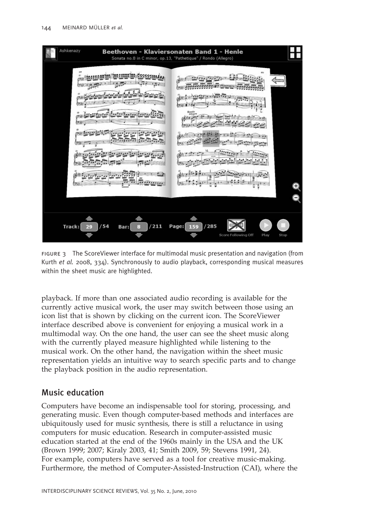| Ashkenazy<br>Beethoven - Klaviersonaten Band 1 - Henle<br>Sonata no.8 in C minor, op.13, "Pathetique" / Rondo (Allegro) |                                                                 |
|-------------------------------------------------------------------------------------------------------------------------|-----------------------------------------------------------------|
| 134<br>心法<br>怛<br>(2)                                                                                                   | 便量<br>Rondo<br>Allegro<br>大约表<br><b>SHOT!</b><br>$-1 - 1$<br>u. |
| /54<br>/211<br>Track:<br>29<br>Bar:<br>8                                                                                | /285<br>Page:<br>159<br>Score Following Off<br>Play<br>Stop     |

FIGURE 3 The ScoreViewer interface for multimodal music presentation and navigation (from Kurth *et al.* 2008, 334). Synchronously to audio playback, corresponding musical measures within the sheet music are highlighted.

playback. If more than one associated audio recording is available for the currently active musical work, the user may switch between those using an icon list that is shown by clicking on the current icon. The ScoreViewer interface described above is convenient for enjoying a musical work in a multimodal way. On the one hand, the user can see the sheet music along with the currently played measure highlighted while listening to the musical work. On the other hand, the navigation within the sheet music representation yields an intuitive way to search specific parts and to change the playback position in the audio representation.

#### Music education

Computers have become an indispensable tool for storing, processing, and generating music. Even though computer-based methods and interfaces are ubiquitously used for music synthesis, there is still a reluctance in using computers for music education. Research in computer-assisted music education started at the end of the 1960s mainly in the USA and the UK (Brown 1999; 2007; Kiraly 2003, 41; Smith 2009, 59; Stevens 1991, 24). For example, computers have served as a tool for creative music-making. Furthermore, the method of Computer-Assisted-Instruction (CAI), where the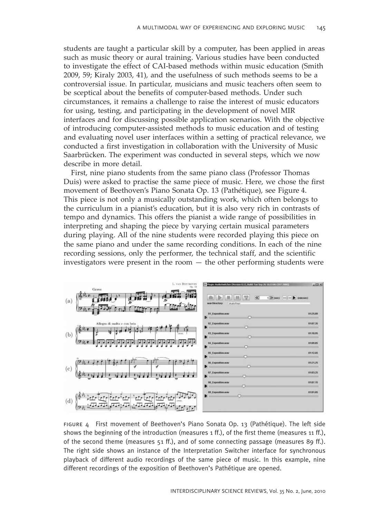students are taught a particular skill by a computer, has been applied in areas such as music theory or aural training. Various studies have been conducted to investigate the effect of CAI-based methods within music education (Smith 2009, 59; Kiraly 2003, 41), and the usefulness of such methods seems to be a controversial issue. In particular, musicians and music teachers often seem to be sceptical about the benefits of computer-based methods. Under such circumstances, it remains a challenge to raise the interest of music educators for using, testing, and participating in the development of novel MIR interfaces and for discussing possible application scenarios. With the objective of introducing computer-assisted methods to music education and of testing and evaluating novel user interfaces within a setting of practical relevance, we conducted a first investigation in collaboration with the University of Music Saarbrücken. The experiment was conducted in several steps, which we now describe in more detail.

First, nine piano students from the same piano class (Professor Thomas Duis) were asked to practise the same piece of music. Here, we chose the first movement of Beethoven's Piano Sonata Op. 13 (Pathétique), see Figure 4. This piece is not only a musically outstanding work, which often belongs to the curriculum in a pianistís education, but it is also very rich in contrasts of tempo and dynamics. This offers the pianist a wide range of possibilities in interpreting and shaping the piece by varying certain musical parameters during playing. All of the nine students were recorded playing this piece on the same piano and under the same recording conditions. In each of the nine recording sessions, only the performer, the technical staff, and the scientific investigators were present in the room  $-$  the other performing students were



FIGURE 4 First movement of Beethoven's Piano Sonata Op. 13 (Pathétique). The left side shows the beginning of the introduction (measures 1 ff.), of the first theme (measures 11 ff.), of the second theme (measures 51 ff.), and of some connecting passage (measures 89 ff.). The right side shows an instance of the Interpretation Switcher interface for synchronous playback of different audio recordings of the same piece of music. In this example, nine different recordings of the exposition of Beethoven's Pathétique are opened.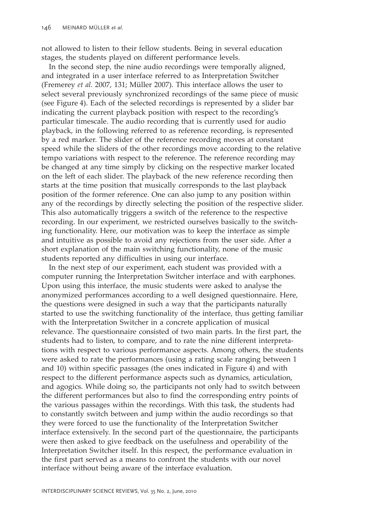not allowed to listen to their fellow students. Being in several education stages, the students played on different performance levels.

In the second step, the nine audio recordings were temporally aligned, and integrated in a user interface referred to as Interpretation Switcher (Fremerey *et al.* 2007, 131; Müller 2007). This interface allows the user to select several previously synchronized recordings of the same piece of music (see Figure 4). Each of the selected recordings is represented by a slider bar indicating the current playback position with respect to the recording's particular timescale. The audio recording that is currently used for audio playback, in the following referred to as reference recording, is represented by a red marker. The slider of the reference recording moves at constant speed while the sliders of the other recordings move according to the relative tempo variations with respect to the reference. The reference recording may be changed at any time simply by clicking on the respective marker located on the left of each slider. The playback of the new reference recording then starts at the time position that musically corresponds to the last playback position of the former reference. One can also jump to any position within any of the recordings by directly selecting the position of the respective slider. This also automatically triggers a switch of the reference to the respective recording. In our experiment, we restricted ourselves basically to the switching functionality. Here, our motivation was to keep the interface as simple and intuitive as possible to avoid any rejections from the user side. After a short explanation of the main switching functionality, none of the music students reported any difficulties in using our interface.

In the next step of our experiment, each student was provided with a computer running the Interpretation Switcher interface and with earphones. Upon using this interface, the music students were asked to analyse the anonymized performances according to a well designed questionnaire. Here, the questions were designed in such a way that the participants naturally started to use the switching functionality of the interface, thus getting familiar with the Interpretation Switcher in a concrete application of musical relevance. The questionnaire consisted of two main parts. In the first part, the students had to listen, to compare, and to rate the nine different interpretations with respect to various performance aspects. Among others, the students were asked to rate the performances (using a rating scale ranging between 1 and 10) within specific passages (the ones indicated in Figure 4) and with respect to the different performance aspects such as dynamics, articulation, and agogics. While doing so, the participants not only had to switch between the different performances but also to find the corresponding entry points of the various passages within the recordings. With this task, the students had to constantly switch between and jump within the audio recordings so that they were forced to use the functionality of the Interpretation Switcher interface extensively. In the second part of the questionnaire, the participants were then asked to give feedback on the usefulness and operability of the Interpretation Switcher itself. In this respect, the performance evaluation in the first part served as a means to confront the students with our novel interface without being aware of the interface evaluation.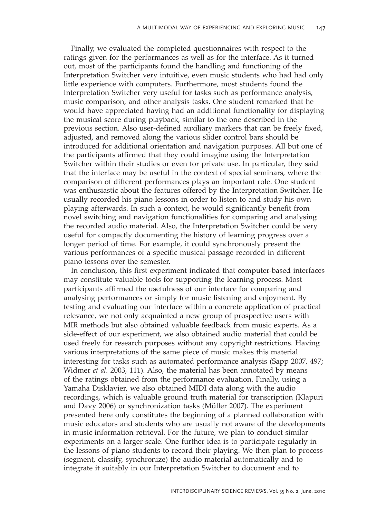Finally, we evaluated the completed questionnaires with respect to the ratings given for the performances as well as for the interface. As it turned out, most of the participants found the handling and functioning of the Interpretation Switcher very intuitive, even music students who had had only little experience with computers. Furthermore, most students found the Interpretation Switcher very useful for tasks such as performance analysis, music comparison, and other analysis tasks. One student remarked that he would have appreciated having had an additional functionality for displaying the musical score during playback, similar to the one described in the previous section. Also user-defined auxiliary markers that can be freely fixed, adjusted, and removed along the various slider control bars should be introduced for additional orientation and navigation purposes. All but one of the participants affirmed that they could imagine using the Interpretation Switcher within their studies or even for private use. In particular, they said that the interface may be useful in the context of special seminars, where the comparison of different performances plays an important role. One student was enthusiastic about the features offered by the Interpretation Switcher. He usually recorded his piano lessons in order to listen to and study his own playing afterwards. In such a context, he would significantly benefit from novel switching and navigation functionalities for comparing and analysing the recorded audio material. Also, the Interpretation Switcher could be very useful for compactly documenting the history of learning progress over a longer period of time. For example, it could synchronously present the various performances of a specific musical passage recorded in different piano lessons over the semester.

In conclusion, this first experiment indicated that computer-based interfaces may constitute valuable tools for supporting the learning process. Most participants affirmed the usefulness of our interface for comparing and analysing performances or simply for music listening and enjoyment. By testing and evaluating our interface within a concrete application of practical relevance, we not only acquainted a new group of prospective users with MIR methods but also obtained valuable feedback from music experts. As a side-effect of our experiment, we also obtained audio material that could be used freely for research purposes without any copyright restrictions. Having various interpretations of the same piece of music makes this material interesting for tasks such as automated performance analysis (Sapp 2007, 497; Widmer *et al.* 2003, 111). Also, the material has been annotated by means of the ratings obtained from the performance evaluation. Finally, using a Yamaha Disklavier, we also obtained MIDI data along with the audio recordings, which is valuable ground truth material for transcription (Klapuri and Davy 2006) or synchronization tasks (Müller 2007). The experiment presented here only constitutes the beginning of a planned collaboration with music educators and students who are usually not aware of the developments in music information retrieval. For the future, we plan to conduct similar experiments on a larger scale. One further idea is to participate regularly in the lessons of piano students to record their playing. We then plan to process (segment, classify, synchronize) the audio material automatically and to integrate it suitably in our Interpretation Switcher to document and to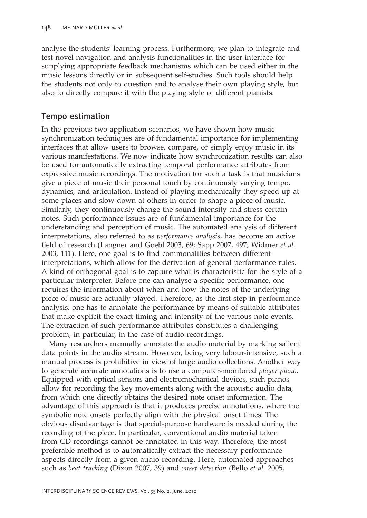analyse the studentsí learning process. Furthermore, we plan to integrate and test novel navigation and analysis functionalities in the user interface for supplying appropriate feedback mechanisms which can be used either in the music lessons directly or in subsequent self-studies. Such tools should help the students not only to question and to analyse their own playing style, but also to directly compare it with the playing style of different pianists.

#### Tempo estimation

In the previous two application scenarios, we have shown how music synchronization techniques are of fundamental importance for implementing interfaces that allow users to browse, compare, or simply enjoy music in its various manifestations. We now indicate how synchronization results can also be used for automatically extracting temporal performance attributes from expressive music recordings. The motivation for such a task is that musicians give a piece of music their personal touch by continuously varying tempo, dynamics, and articulation. Instead of playing mechanically they speed up at some places and slow down at others in order to shape a piece of music. Similarly, they continuously change the sound intensity and stress certain notes. Such performance issues are of fundamental importance for the understanding and perception of music. The automated analysis of different interpretations, also referred to as *performance analysis*, has become an active field of research (Langner and Goebl 2003, 69; Sapp 2007, 497; Widmer *et al.* 2003, 111). Here, one goal is to find commonalities between different interpretations, which allow for the derivation of general performance rules. A kind of orthogonal goal is to capture what is characteristic for the style of a particular interpreter. Before one can analyse a specific performance, one requires the information about when and how the notes of the underlying piece of music are actually played. Therefore, as the first step in performance analysis, one has to annotate the performance by means of suitable attributes that make explicit the exact timing and intensity of the various note events. The extraction of such performance attributes constitutes a challenging problem, in particular, in the case of audio recordings.

Many researchers manually annotate the audio material by marking salient data points in the audio stream. However, being very labour-intensive, such a manual process is prohibitive in view of large audio collections. Another way to generate accurate annotations is to use a computer-monitored *player piano*. Equipped with optical sensors and electromechanical devices, such pianos allow for recording the key movements along with the acoustic audio data, from which one directly obtains the desired note onset information. The advantage of this approach is that it produces precise annotations, where the symbolic note onsets perfectly align with the physical onset times. The obvious disadvantage is that special-purpose hardware is needed during the recording of the piece. In particular, conventional audio material taken from CD recordings cannot be annotated in this way. Therefore, the most preferable method is to automatically extract the necessary performance aspects directly from a given audio recording. Here, automated approaches such as *beat tracking* (Dixon 2007, 39) and *onset detection* (Bello *et al.* 2005,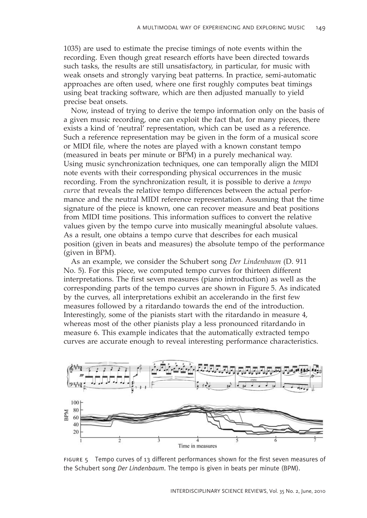1035) are used to estimate the precise timings of note events within the recording. Even though great research efforts have been directed towards such tasks, the results are still unsatisfactory, in particular, for music with weak onsets and strongly varying beat patterns. In practice, semi-automatic approaches are often used, where one first roughly computes beat timings using beat tracking software, which are then adjusted manually to yield precise beat onsets.

Now, instead of trying to derive the tempo information only on the basis of a given music recording, one can exploit the fact that, for many pieces, there exists a kind of 'neutral' representation, which can be used as a reference. Such a reference representation may be given in the form of a musical score or MIDI file, where the notes are played with a known constant tempo (measured in beats per minute or BPM) in a purely mechanical way. Using music synchronization techniques, one can temporally align the MIDI note events with their corresponding physical occurrences in the music recording. From the synchronization result, it is possible to derive a *tempo curve* that reveals the relative tempo differences between the actual performance and the neutral MIDI reference representation. Assuming that the time signature of the piece is known, one can recover measure and beat positions from MIDI time positions. This information suffices to convert the relative values given by the tempo curve into musically meaningful absolute values. As a result, one obtains a tempo curve that describes for each musical position (given in beats and measures) the absolute tempo of the performance (given in BPM).

As an example, we consider the Schubert song *Der Lindenbaum* (D. 911 No. 5). For this piece, we computed tempo curves for thirteen different interpretations. The first seven measures (piano introduction) as well as the corresponding parts of the tempo curves are shown in Figure 5. As indicated by the curves, all interpretations exhibit an accelerando in the first few measures followed by a ritardando towards the end of the introduction. Interestingly, some of the pianists start with the ritardando in measure 4, whereas most of the other pianists play a less pronounced ritardando in measure 6. This example indicates that the automatically extracted tempo curves are accurate enough to reveal interesting performance characteristics.



FIGURE 5 Tempo curves of 13 different performances shown for the first seven measures of the Schubert song *Der Lindenbaum*. The tempo is given in beats per minute (BPM).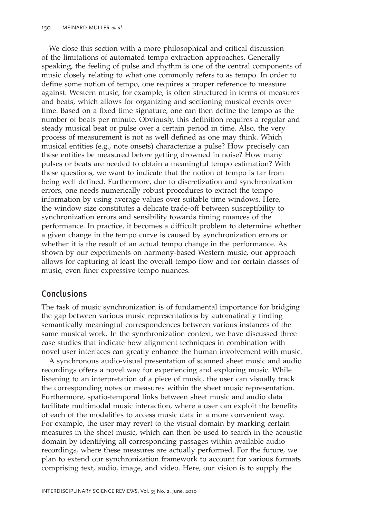We close this section with a more philosophical and critical discussion of the limitations of automated tempo extraction approaches. Generally speaking, the feeling of pulse and rhythm is one of the central components of music closely relating to what one commonly refers to as tempo. In order to define some notion of tempo, one requires a proper reference to measure against. Western music, for example, is often structured in terms of measures and beats, which allows for organizing and sectioning musical events over time. Based on a fixed time signature, one can then define the tempo as the number of beats per minute. Obviously, this definition requires a regular and steady musical beat or pulse over a certain period in time. Also, the very process of measurement is not as well defined as one may think. Which musical entities (e.g., note onsets) characterize a pulse? How precisely can these entities be measured before getting drowned in noise? How many pulses or beats are needed to obtain a meaningful tempo estimation? With these questions, we want to indicate that the notion of tempo is far from being well defined. Furthermore, due to discretization and synchronization errors, one needs numerically robust procedures to extract the tempo information by using average values over suitable time windows. Here, the window size constitutes a delicate trade-off between susceptibility to synchronization errors and sensibility towards timing nuances of the performance. In practice, it becomes a difficult problem to determine whether a given change in the tempo curve is caused by synchronization errors or whether it is the result of an actual tempo change in the performance. As shown by our experiments on harmony-based Western music, our approach allows for capturing at least the overall tempo flow and for certain classes of music, even finer expressive tempo nuances.

#### Conclusions

The task of music synchronization is of fundamental importance for bridging the gap between various music representations by automatically finding semantically meaningful correspondences between various instances of the same musical work. In the synchronization context, we have discussed three case studies that indicate how alignment techniques in combination with novel user interfaces can greatly enhance the human involvement with music.

A synchronous audio-visual presentation of scanned sheet music and audio recordings offers a novel way for experiencing and exploring music. While listening to an interpretation of a piece of music, the user can visually track the corresponding notes or measures within the sheet music representation. Furthermore, spatio-temporal links between sheet music and audio data facilitate multimodal music interaction, where a user can exploit the benefits of each of the modalities to access music data in a more convenient way. For example, the user may revert to the visual domain by marking certain measures in the sheet music, which can then be used to search in the acoustic domain by identifying all corresponding passages within available audio recordings, where these measures are actually performed. For the future, we plan to extend our synchronization framework to account for various formats comprising text, audio, image, and video. Here, our vision is to supply the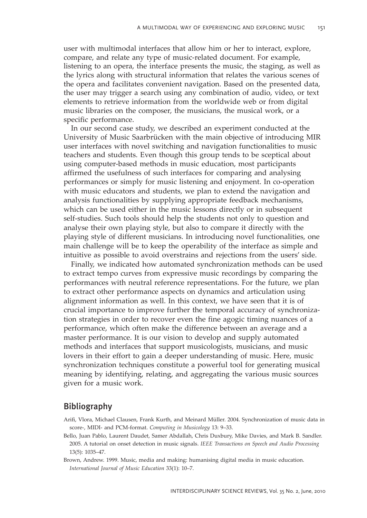user with multimodal interfaces that allow him or her to interact, explore, compare, and relate any type of music-related document. For example, listening to an opera, the interface presents the music, the staging, as well as the lyrics along with structural information that relates the various scenes of the opera and facilitates convenient navigation. Based on the presented data, the user may trigger a search using any combination of audio, video, or text elements to retrieve information from the worldwide web or from digital music libraries on the composer, the musicians, the musical work, or a specific performance.

In our second case study, we described an experiment conducted at the University of Music Saarbrücken with the main objective of introducing MIR user interfaces with novel switching and navigation functionalities to music teachers and students. Even though this group tends to be sceptical about using computer-based methods in music education, most participants affirmed the usefulness of such interfaces for comparing and analysing performances or simply for music listening and enjoyment. In co-operation with music educators and students, we plan to extend the navigation and analysis functionalities by supplying appropriate feedback mechanisms, which can be used either in the music lessons directly or in subsequent self-studies. Such tools should help the students not only to question and analyse their own playing style, but also to compare it directly with the playing style of different musicians. In introducing novel functionalities, one main challenge will be to keep the operability of the interface as simple and intuitive as possible to avoid overstrains and rejections from the users' side.

Finally, we indicated how automated synchronization methods can be used to extract tempo curves from expressive music recordings by comparing the performances with neutral reference representations. For the future, we plan to extract other performance aspects on dynamics and articulation using alignment information as well. In this context, we have seen that it is of crucial importance to improve further the temporal accuracy of synchronization strategies in order to recover even the fine agogic timing nuances of a performance, which often make the difference between an average and a master performance. It is our vision to develop and supply automated methods and interfaces that support musicologists, musicians, and music lovers in their effort to gain a deeper understanding of music. Here, music synchronization techniques constitute a powerful tool for generating musical meaning by identifying, relating, and aggregating the various music sources given for a music work.

#### Bibliography

- Arifi, Vlora, Michael Clausen, Frank Kurth, and Meinard Müller. 2004. Synchronization of music data in score-, MIDI- and PCM-format. *Computing in Musicology* 13: 9-33.
- Bello, Juan Pablo, Laurent Daudet, Samer Abdallah, Chris Duxbury, Mike Davies, and Mark B. Sandler. 2005. A tutorial on onset detection in music signals. *IEEE Transactions on Speech and Audio Processing*  $13(5): 1035 - 47.$
- Brown, Andrew. 1999. Music, media and making: humanising digital media in music education. *International Journal of Music Education* 33(1): 10-7.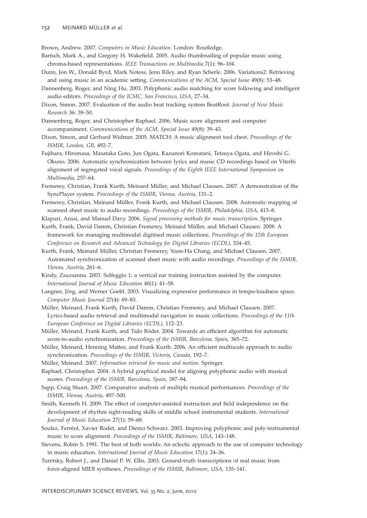Brown, Andrew. 2007. *Computers in Music Education*. London: Routledge.

- Bartsch, Mark A., and Gregory H. Wakefield. 2005. Audio thumbnailing of popular music using chroma-based representations. *IEEE Transactions on Multimedia* 7(1): 96-104.
- Dunn, Jon W., Donald Byrd, Mark Notess, Jenn Riley, and Ryan Scherle. 2006. Variations2: Retrieving and using music in an academic setting. *Communications of the ACM, Special Issue* 49(8): 53-48.
- Dannenberg, Roger, and Ning Hu. 2003. Polyphonic audio matching for score following and intelligent audio editors. Proceedings of the ICMC, San Francisco, USA, 27-34.
- Dixon, Simon. 2007. Evaluation of the audio beat tracking system BeatRoot. *Journal of New Music Research* 36: 39-50.
- Dannenberg, Roger, and Christopher Raphael. 2006. Music score alignment and computer accompaniment. *Communications of the ACM, Special Issue* 49(8): 39-43.

Dixon, Simon, and Gerhard Widmer. 2005. MATCH: A music alignment tool chest. *Proceedings of the ISMIR, London, GB, 492-7.* 

Fujihara, Hiromasa, Masataka Goto, Jun Ogata, Kazunori Komatani, Tetsuya Ogata, and Hiroshi G. Okuno. 2006. Automatic synchronization between lyrics and music CD recordings based on Viterbi alignment of segregated vocal signals. *Proceedings of the Eighth IEEE International Symposium on Multimedia*, 257-64.

Fremerey, Christian, Frank Kurth, Meinard Müller, and Michael Clausen. 2007. A demonstration of the SyncPlayer system. *Proceedings of the ISMIR, Vienna, Austria*, 131-2.

- Fremerey, Christian, Meinard Müller, Frank Kurth, and Michael Clausen. 2008. Automatic mapping of scanned sheet music to audio recordings. Proceedings of the ISMIR, Philadelphia, USA, 413-8.
- Klapuri, Anssi, and Manuel Davy. 2006. *Signal processing methods for music transcription*. Springer.
- Kurth, Frank, David Damm, Christian Fremerey, Meinard Müller, and Michael Clausen. 2008. A framework for managing multimodal digitised music collections. *Proceedings of the 12th European Conference on Research and Advanced Technology for Digital Libraries (ECDL)*, 334–45.
- Kurth, Frank, Meinard Müller, Christian Fremerey, Yoon-Ha Chang, and Michael Clausen. 2007. Automated synchronization of scanned sheet music with audio recordings. *Proceedings of the ISMIR,*  Vienna, Austria, 261-6.
- Kiraly, Zsuzsanna. 2003. Solfeggio 1: a vertical ear training instruction assisted by the computer. International Journal of Music Education 40(1): 41-58.
- Langner, Jörg, and Werner Goebl. 2003. Visualizing expressive performance in tempo-loudness space. *Computer Music Journal 27(4): 69-83.*
- Müller, Meinard, Frank Kurth, David Damm, Christian Fremerey, and Michael Clausen. 2007. Lyrics-based audio retrieval and multimodal navigation in music collections. *Proceedings of the 11th European Conference on Digital Libraries (ECDL), 112-23.*
- Müller, Meinard, Frank Kurth, and Tido Röder. 2004. Towards an efficient algorithm for automatic score-to-audio synchronization. *Proceedings of the ISMIR, Barcelona, Spain, 365-72*.
- Müller, Meinard, Henning Mattes, and Frank Kurth. 2006. An efficient multiscale approach to audio synchronization. Proceedings of the ISMIR, Victoria, Canada, 192-7.

Müller, Meinard. 2007. *Information retrieval for music and motion*. Springer.

- Raphael, Christopher. 2004. A hybrid graphical model for aligning polyphonic audio with musical scores. Proceedings of the ISMIR, Barcelona, Spain, 387-94.
- Sapp, Craig Stuart. 2007. Comparative analysis of multiple musical performances. *Proceedings of the ISMIR, Vienna, Austria, 497-500.*
- Smith, Kenneth H. 2009. The effect of computer-assisted instruction and field independence on the development of rhythm sight-reading skills of middle school instrumental students. *International*  Journal of Music Education 27(1): 59-68.
- Soulez, Ferréol, Xavier Rodet, and Diemo Schwarz. 2003. Improving polyphonic and poly-instrumental music to score alignment. *Proceedings of the ISMIR, Baltimore, USA*, 143-148.
- Stevens, Robin S. 1991. The best of both worlds: An eclectic approach to the use of computer technology in music education. *International Journal of Music Education* 17(1): 24-36.
- Turetsky, Robert J., and Daniel P. W. Ellis. 2003. Ground-truth transcriptions of real music from force-aligned MIDI syntheses. *Proceedings of the ISMIR, Baltimore, USA*, 135-141.